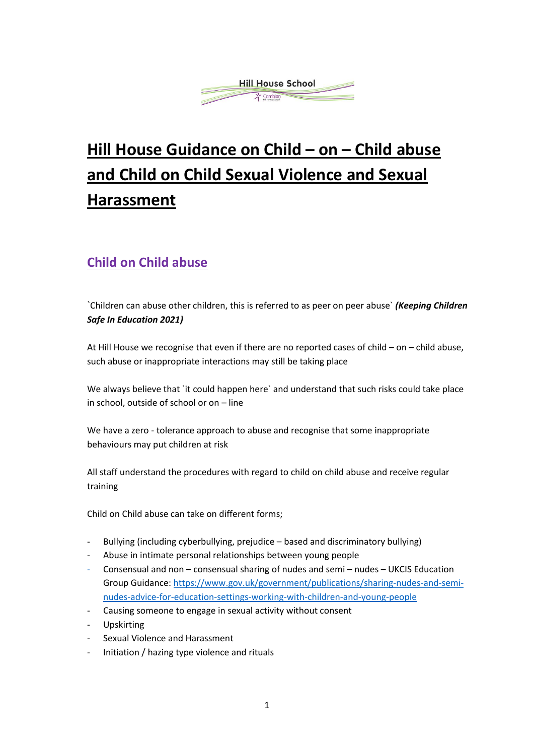

# **Hill House Guidance on Child – on – Child abuse and Child on Child Sexual Violence and Sexual Harassment**

## **Child on Child abuse**

`Children can abuse other children, this is referred to as peer on peer abuse` *(Keeping Children Safe In Education 2021)* 

At Hill House we recognise that even if there are no reported cases of child – on – child abuse, such abuse or inappropriate interactions may still be taking place

We always believe that `it could happen here` and understand that such risks could take place in school, outside of school or on – line

We have a zero - tolerance approach to abuse and recognise that some inappropriate behaviours may put children at risk

All staff understand the procedures with regard to child on child abuse and receive regular training

Child on Child abuse can take on different forms;

- Bullying (including cyberbullying, prejudice based and discriminatory bullying)
- Abuse in intimate personal relationships between young people
- Consensual and non consensual sharing of nudes and semi nudes UKCIS Education Group Guidance: [https://www.gov.uk/government/publications/sharing-nudes-and-semi](https://www.gov.uk/government/publications/sharing-nudes-and-semi-nudes-advice-for-education-settings-working-with-children-and-young-people)[nudes-advice-for-education-settings-working-with-children-and-young-people](https://www.gov.uk/government/publications/sharing-nudes-and-semi-nudes-advice-for-education-settings-working-with-children-and-young-people)
- Causing someone to engage in sexual activity without consent
- Upskirting
- Sexual Violence and Harassment
- Initiation / hazing type violence and rituals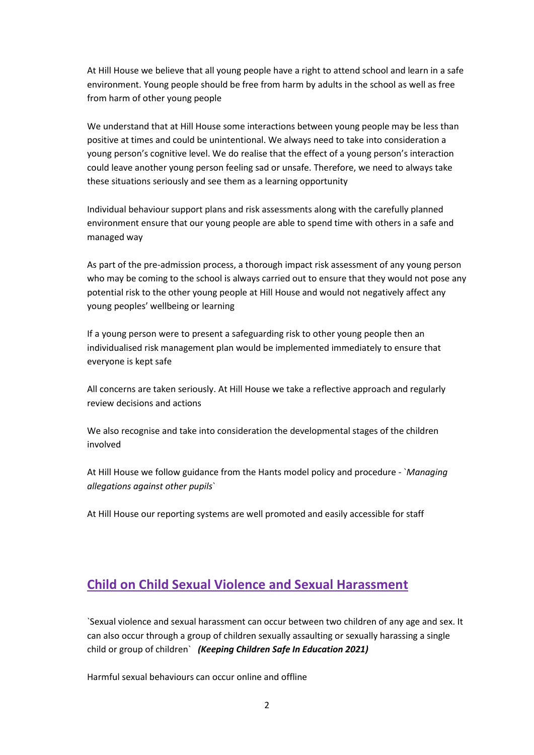At Hill House we believe that all young people have a right to attend school and learn in a safe environment. Young people should be free from harm by adults in the school as well as free from harm of other young people

We understand that at Hill House some interactions between young people may be less than positive at times and could be unintentional. We always need to take into consideration a young person's cognitive level. We do realise that the effect of a young person's interaction could leave another young person feeling sad or unsafe. Therefore, we need to always take these situations seriously and see them as a learning opportunity

Individual behaviour support plans and risk assessments along with the carefully planned environment ensure that our young people are able to spend time with others in a safe and managed way

As part of the pre-admission process, a thorough impact risk assessment of any young person who may be coming to the school is always carried out to ensure that they would not pose any potential risk to the other young people at Hill House and would not negatively affect any young peoples' wellbeing or learning

If a young person were to present a safeguarding risk to other young people then an individualised risk management plan would be implemented immediately to ensure that everyone is kept safe

All concerns are taken seriously. At Hill House we take a reflective approach and regularly review decisions and actions

We also recognise and take into consideration the developmental stages of the children involved

At Hill House we follow guidance from the Hants model policy and procedure - `*Managing allegations against other pupils*`

At Hill House our reporting systems are well promoted and easily accessible for staff

#### **Child on Child Sexual Violence and Sexual Harassment**

`Sexual violence and sexual harassment can occur between two children of any age and sex. It can also occur through a group of children sexually assaulting or sexually harassing a single child or group of children` *(Keeping Children Safe In Education 2021)* 

Harmful sexual behaviours can occur online and offline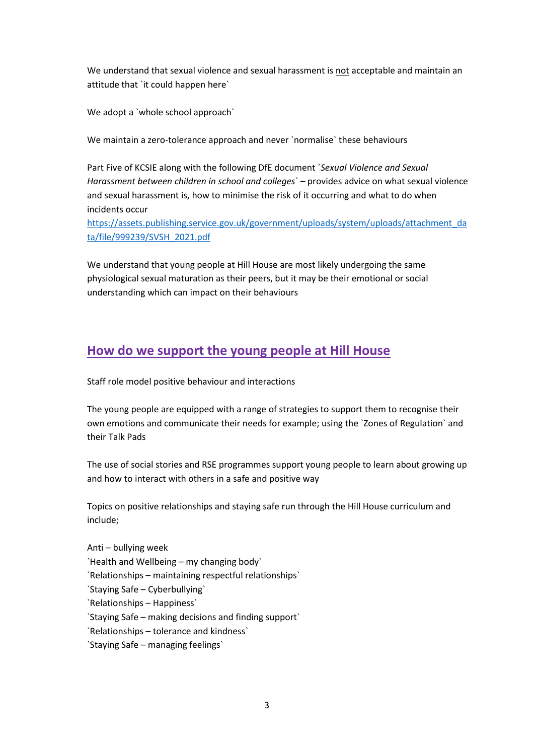We understand that sexual violence and sexual harassment is not acceptable and maintain an attitude that `it could happen here`

We adopt a `whole school approach`

We maintain a zero-tolerance approach and never `normalise` these behaviours

Part Five of KCSIE along with the following DfE document `*Sexual Violence and Sexual Harassment between children in school and colleges*` – provides advice on what sexual violence and sexual harassment is, how to minimise the risk of it occurring and what to do when incidents occur

[https://assets.publishing.service.gov.uk/government/uploads/system/uploads/attachment\\_da](https://assets.publishing.service.gov.uk/government/uploads/system/uploads/attachment_data/file/999239/SVSH_2021.pdf) [ta/file/999239/SVSH\\_2021.pdf](https://assets.publishing.service.gov.uk/government/uploads/system/uploads/attachment_data/file/999239/SVSH_2021.pdf)

We understand that young people at Hill House are most likely undergoing the same physiological sexual maturation as their peers, but it may be their emotional or social understanding which can impact on their behaviours

#### **How do we support the young people at Hill House**

Staff role model positive behaviour and interactions

The young people are equipped with a range of strategies to support them to recognise their own emotions and communicate their needs for example; using the `Zones of Regulation` and their Talk Pads

The use of social stories and RSE programmes support young people to learn about growing up and how to interact with others in a safe and positive way

Topics on positive relationships and staying safe run through the Hill House curriculum and include;

Anti – bullying week `Health and Wellbeing – my changing body` `Relationships – maintaining respectful relationships` `Staying Safe – Cyberbullying` `Relationships – Happiness` `Staying Safe – making decisions and finding support` `Relationships – tolerance and kindness` `Staying Safe – managing feelings`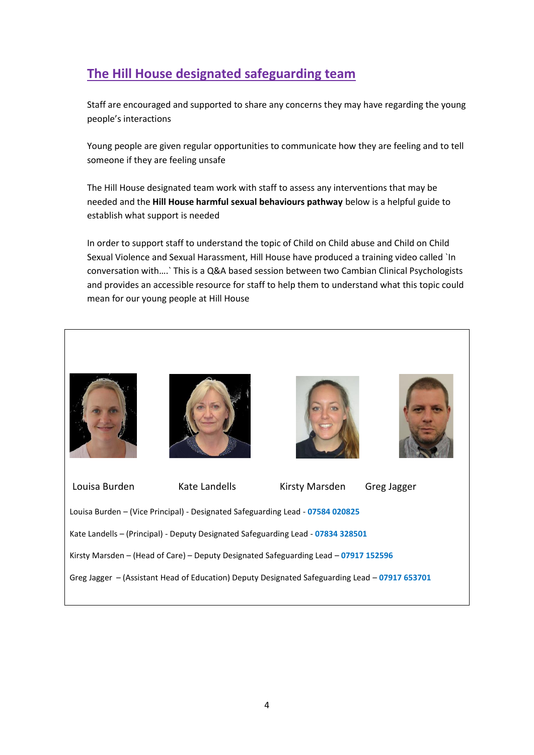### **The Hill House designated safeguarding team**

Staff are encouraged and supported to share any concerns they may have regarding the young people's interactions

Young people are given regular opportunities to communicate how they are feeling and to tell someone if they are feeling unsafe

The Hill House designated team work with staff to assess any interventions that may be needed and the **Hill House harmful sexual behaviours pathway** below is a helpful guide to establish what support is needed

In order to support staff to understand the topic of Child on Child abuse and Child on Child Sexual Violence and Sexual Harassment, Hill House have produced a training video called `In conversation with….` This is a Q&A based session between two Cambian Clinical Psychologists and provides an accessible resource for staff to help them to understand what this topic could mean for our young people at Hill House

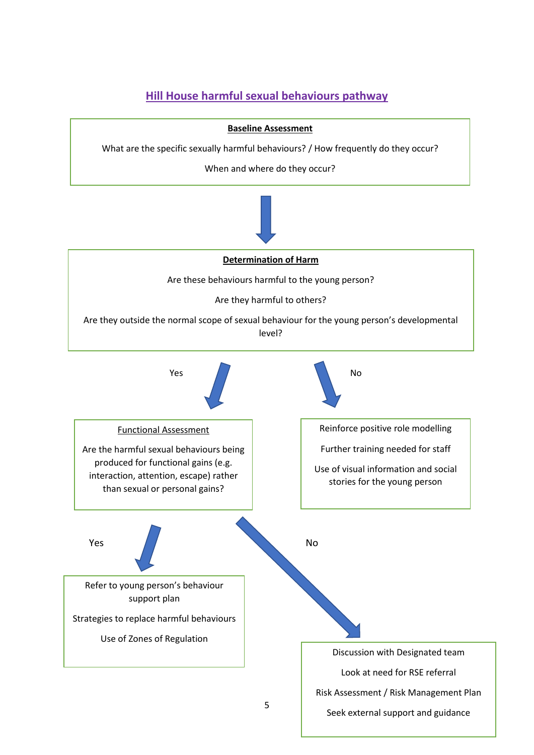#### **Hill House harmful sexual behaviours pathway**